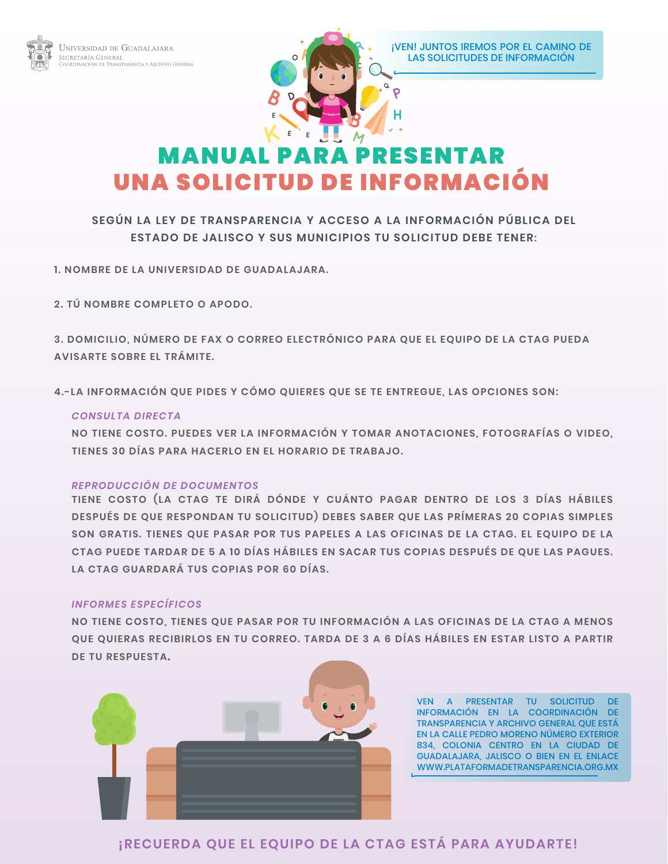



## MANUAL PARA PRESENTAR UNA SOLICITUD DE INFORMACIÓN

## **SEGÚN LA LEY DE TRANSPARENCIA Y ACCESO A LA INFORMACIÓN PÚBLICA DEL ESTADO DE JALISCO Y SUS MUNICIPIOS TU SOLICITUD DEBE TENER:**

**1. NOMBRE DE LA UNIVERSIDAD DE GUADALAJARA.**

**2. TÚ NOMBRE COMPLETO O APODO.**

**3. DOMICILIO, NÚMERO DE FAX O CORREO ELECTRÓNICO PARA QUE EL EQUIPO DE LA CTAG PUEDA AVISARTE SOBRE EL TRÁMITE.**

**4.-LA INFORMACIÓN QUE PIDES Y CÓMO QUIERES QUE SE TE ENTREGUE, LAS OPCIONES SON:**

#### *CONSULTA DIRECTA*

**NO TIENE COSTO. PUEDES VER LA INFORMACIÓN Y TOMAR ANOTACIONES, FOTOGRAFÍAS O VIDEO, TIENES 30 DÍAS PARA HACERLO EN EL HORARIO DE TRABAJO.**

#### *REPRODUCCIÓN DE DOCUMENTOS*

**TIENE COSTO (LA CTAG TE DIRÁ DÓNDE Y CUÁNTO PAGAR DENTRO DE LOS 3 DÍAS HÁBILES DESPUÉS DE QUE RESPONDAN TU SOLICITUD) DEBES SABER QUE LAS PRÍMERAS 20 COPIAS SIMPLES SON GRATIS. TIENES QUE PASAR POR TUS PAPELES A LAS OFICINAS DE LA CTAG. EL EQUIPO DE LA CTAG PUEDE TARDAR DE 5 A 10 DÍAS HÁBILES EN SACAR TUS COPIAS DESPUÉS DE QUE LAS PAGUES. LA CTAG GUARDARÁ TUS COPIAS POR 60 DÍAS.** 

#### *INFORMES ESPECÍFICOS*

**NO TIENE COSTO, TIENES QUE PASAR POR TU INFORMACIÓN A LAS OFICINAS DE LA CTAG A MENOS QUE QUIERAS RECIBIRLOS EN TU CORREO. TARDA DE 3 A 6 DÍAS HÁBILES EN ESTAR LISTO A PARTIR DE TU RESPUESTA.**



VEN A PRESENTAR TU SOLICITUD DE INFORMACIÓN EN LA COORDINACIÓN DE TRANSPARENCIA Y ARCHIVO GENERAL QUE ESTÁ EN LA CALLE PEDRO MORENO NÚMERO EXTERIOR 834, COLONIA CENTRO EN LA CIUDAD DE GUADALAJARA, JALISCO O BIEN EN EL ENLACE WWW.PLATAFORMADETRANSPARENCIA.ORG.MX

### **¡RECUERDA QUE EL EQUIPO DE LA CTAG ESTÁ PARA AYUDARTE!**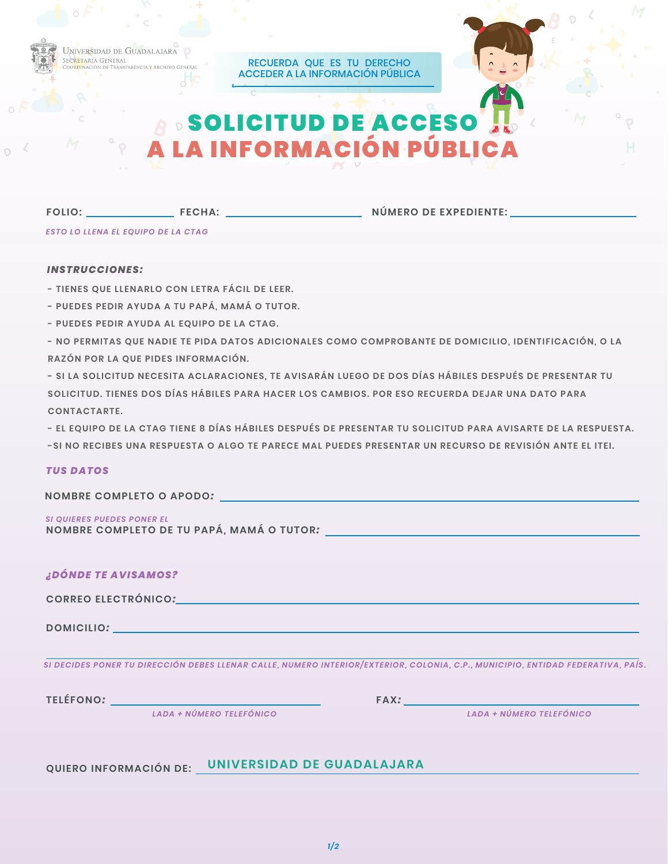

RECUERDA QUE ES TU DERECHO ACCEDER A LA INFORMACIÓN PÚBLICA

# **SOLICITUD DE ACCE** A LA INFORMACIÓN PÚBLICA

**FOLIO:**

**FECHA: NÚMERO DE EXPEDIENTE:**

*ESTO LO LLENA EL EQUIPO DE LA CTAG*

#### *INSTRUCCIONES:*

- **TIENES QUE LLENARLO CON LETRA FÁCIL DE LEER.**
- **PUEDES PEDIR AYUDA A TU PAPÁ, MAMÁ O TUTOR.**
- **PUEDES PEDIR AYUDA AL EQUIPO DE LA CTAG.**
- **NO PERMITAS QUE NADIE TE PIDA DATOS ADICIONALES COMO COMPROBANTE DE DOMICILIO, IDENTIFICACIÓN, O LA RAZÓN POR LA QUE PIDES INFORMACIÓN.**
- **SI LA SOLICITUD NECESITA ACLARACIONES, TE AVISARÁN LUEGO DE DOS DÍAS HÁBILES DESPUÉS DE PRESENTAR TU SOLICITUD. TIENES DOS DÍAS HÁBILES PARA HACER LOS CAMBIOS. POR ESO RECUERDA DEJAR UNA DATO PARA CONTACTARTE.**
- **EL EQUIPO DE LA CTAG TIENE 8 DÍAS HÁBILES DESPUÉS DE PRESENTAR TU SOLICITUD PARA AVISARTE DE LA RESPUESTA.**
- **-SI NO RECIBES UNA RESPUESTA O ALGO TE PARECE MAL PUEDES PRESENTAR UN RECURSO DE REVISIÓN ANTE EL ITEI.**

#### *TUS DATOS*

| NOMBRE COMPLETO O APODO: |  |
|--------------------------|--|
|                          |  |

**NOMBRE COMPLETO DE TU PAPÁ, MAMÁ O TUTOR***: SI QUIERES PUEDES PONER EL*

| ¿DÓNDE TE AVISAMOS?                                                                                                                                                                                                                                                                     |                                                                                                                                                                                                                                                            |  |
|-----------------------------------------------------------------------------------------------------------------------------------------------------------------------------------------------------------------------------------------------------------------------------------------|------------------------------------------------------------------------------------------------------------------------------------------------------------------------------------------------------------------------------------------------------------|--|
| CORREO ELECTRÓNICO: NA ENTREGADA ELECTRÓNICO EL ENTRE EL ENTRE EL ENTRE EL ENTRE EL ENTRE EL ENTRE EL ENTRE EL                                                                                                                                                                          |                                                                                                                                                                                                                                                            |  |
| DOMICILIO: NATIONAL CONTRACTOR CONTRACTOR CONTRACTOR CONTRACTOR                                                                                                                                                                                                                         |                                                                                                                                                                                                                                                            |  |
|                                                                                                                                                                                                                                                                                         | SI DECIDES PONER TU DIRECCIÓN DEBES LLENAR CALLE, NUMERO INTERIOR/EXTERIOR, COLONIA, C.P., MUNICIPIO, ENTIDAD FEDERATIVA, PAÍS.                                                                                                                            |  |
| <b>TELÉFONO:</b><br>a sa kabilang na kalawang pangangang pangangang pangangang pangangang pangangang pangangang pangangang pangang<br>Pangangang pangangang pangangang pangangang pangangang pangangang pangangang pangangang pangangang pangang pan<br><b>LADA + NÚMERO TELEFÓNICO</b> | FAX: The contract of the contract of the contract of the contract of the contract of the contract of the contract of the contract of the contract of the contract of the contract of the contract of the contract of the contr<br>LADA + NÚMERO TELEFÓNICO |  |

**QUIERO INFORMACIÓN DE: UNIVERSIDAD DE GUADALAJARA**